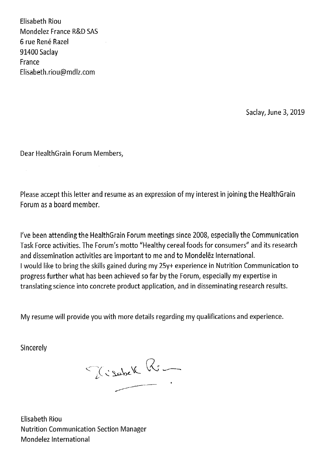Elisabeth Riou Mondelez France R&D SAS 6 rue René Razel 91400 Saclay France Elisabeth.riou@mdlz.com

Saclay, June 3, 2019

Dear HealthGrain Forum Members,

Please accept this letter and resume as an expression of my interest in joining the HealthGrain Forum as a board member.

I've been attending the HealthGrain Forum meetings since 2008, especially the Communication Task Force activities. The Forum's motto "Healthy cereal foods for consumers" and its research and dissemination activities are important to me and to Mondelez International. I would like to bring the skills gained during my 25y+ experience in Nutrition Communication to progress further what has been achieved so far by the Forum, especially my expertise in translating science into concrete product application, and in disseminating research results.

My resume will provide you with more details regarding my qualifications and experience.

Sincerely

Tischek Ri

Elisabeth Riou **Nutrition Communication Section Manager** Mondelez International